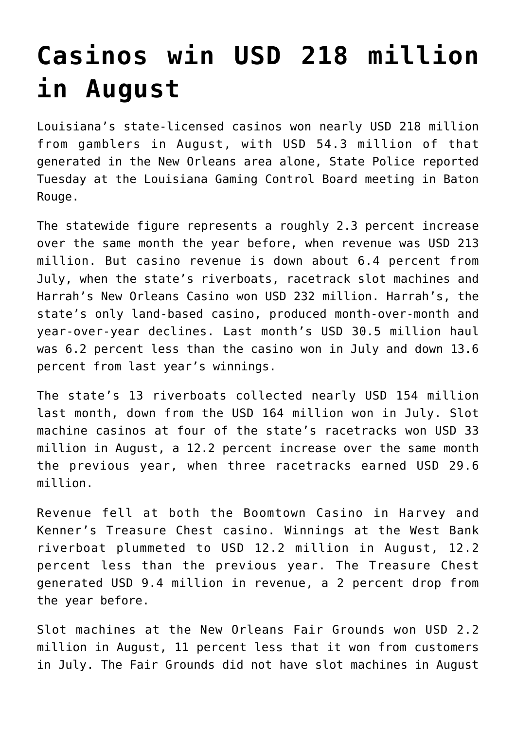## **[Casinos win USD 218 million](https://www.isa-guide.de/english-news/articles/22768.html) [in August](https://www.isa-guide.de/english-news/articles/22768.html)**

Louisiana's state-licensed casinos won nearly USD 218 million from gamblers in August, with USD 54.3 million of that generated in the New Orleans area alone, State Police reported Tuesday at the Louisiana Gaming Control Board meeting in Baton Rouge.

The statewide figure represents a roughly 2.3 percent increase over the same month the year before, when revenue was USD 213 million. But casino revenue is down about 6.4 percent from July, when the state's riverboats, racetrack slot machines and Harrah's New Orleans Casino won USD 232 million. Harrah's, the state's only land-based casino, produced month-over-month and year-over-year declines. Last month's USD 30.5 million haul was 6.2 percent less than the casino won in July and down 13.6 percent from last year's winnings.

The state's 13 riverboats collected nearly USD 154 million last month, down from the USD 164 million won in July. Slot machine casinos at four of the state's racetracks won USD 33 million in August, a 12.2 percent increase over the same month the previous year, when three racetracks earned USD 29.6 million.

Revenue fell at both the Boomtown Casino in Harvey and Kenner's Treasure Chest casino. Winnings at the West Bank riverboat plummeted to USD 12.2 million in August, 12.2 percent less than the previous year. The Treasure Chest generated USD 9.4 million in revenue, a 2 percent drop from the year before.

Slot machines at the New Orleans Fair Grounds won USD 2.2 million in August, 11 percent less that it won from customers in July. The Fair Grounds did not have slot machines in August